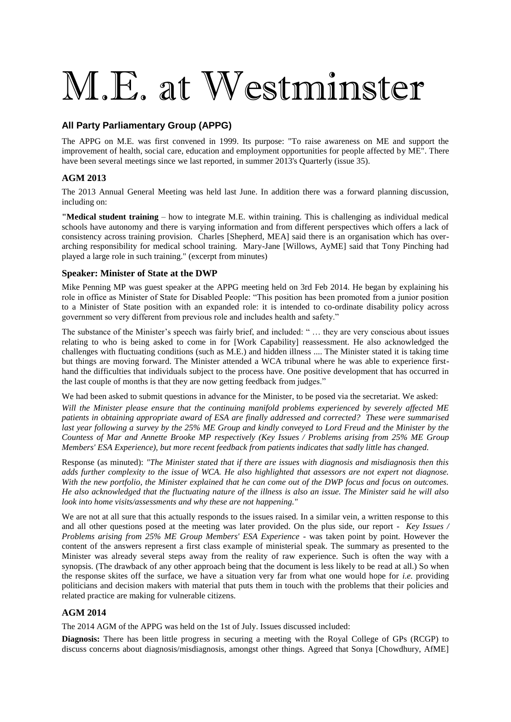# M.E. at Westminster

### **All Party Parliamentary Group (APPG)**

The APPG on M.E. was first convened in 1999. Its purpose: "To raise awareness on ME and support the improvement of health, social care, education and employment opportunities for people affected by ME". There have been several meetings since we last reported, in summer 2013's Quarterly (issue 35).

### **AGM 2013**

The 2013 Annual General Meeting was held last June. In addition there was a forward planning discussion, including on:

**"Medical student training** – how to integrate M.E. within training. This is challenging as individual medical schools have autonomy and there is varying information and from different perspectives which offers a lack of consistency across training provision. Charles [Shepherd, MEA] said there is an organisation which has overarching responsibility for medical school training. Mary-Jane [Willows, AyME] said that Tony Pinching had played a large role in such training." (excerpt from minutes)

### **Speaker: Minister of State at the DWP**

Mike Penning MP was guest speaker at the APPG meeting held on 3rd Feb 2014. He began by explaining his role in office as Minister of State for Disabled People: "This position has been promoted from a junior position to a Minister of State position with an expanded role: it is intended to co-ordinate disability policy across government so very different from previous role and includes health and safety."

The substance of the Minister's speech was fairly brief, and included: " … they are very conscious about issues relating to who is being asked to come in for [Work Capability] reassessment. He also acknowledged the challenges with fluctuating conditions (such as M.E.) and hidden illness .... The Minister stated it is taking time but things are moving forward. The Minister attended a WCA tribunal where he was able to experience firsthand the difficulties that individuals subject to the process have. One positive development that has occurred in the last couple of months is that they are now getting feedback from judges."

We had been asked to submit questions in advance for the Minister, to be posed via the secretariat. We asked:

*Will the Minister please ensure that the continuing manifold problems experienced by severely affected ME patients in obtaining appropriate award of ESA are finally addressed and corrected? These were summarised last year following a survey by the 25% ME Group and kindly conveyed to Lord Freud and the Minister by the Countess of Mar and Annette Brooke MP respectively (Key Issues / Problems arising from 25% ME Group Members' ESA Experience), but more recent feedback from patients indicates that sadly little has changed.*

Response (as minuted): *"The Minister stated that if there are issues with diagnosis and misdiagnosis then this adds further complexity to the issue of WCA. He also highlighted that assessors are not expert not diagnose. With the new portfolio, the Minister explained that he can come out of the DWP focus and focus on outcomes. He also acknowledged that the fluctuating nature of the illness is also an issue. The Minister said he will also look into home visits/assessments and why these are not happening."*

We are not at all sure that this actually responds to the issues raised. In a similar vein, a written response to this and all other questions posed at the meeting was later provided. On the plus side, our report - *Key Issues / Problems arising from 25% ME Group Members' ESA Experience -* was taken point by point. However the content of the answers represent a first class example of ministerial speak. The summary as presented to the Minister was already several steps away from the reality of raw experience. Such is often the way with a synopsis. (The drawback of any other approach being that the document is less likely to be read at all.) So when the response skites off the surface, we have a situation very far from what one would hope for *i.e.* providing politicians and decision makers with material that puts them in touch with the problems that their policies and related practice are making for vulnerable citizens.

### **AGM 2014**

The 2014 AGM of the APPG was held on the 1st of July. Issues discussed included:

**Diagnosis:** There has been little progress in securing a meeting with the Royal College of GPs (RCGP) to discuss concerns about diagnosis/misdiagnosis, amongst other things. Agreed that Sonya [Chowdhury, AfME]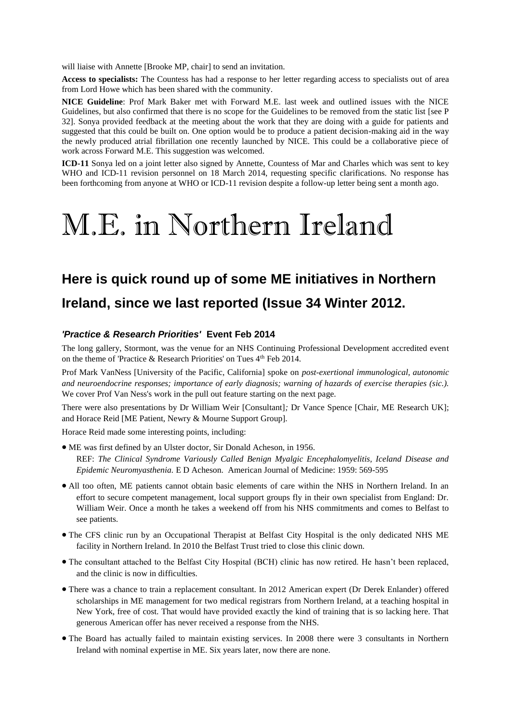will liaise with Annette [Brooke MP, chair] to send an invitation.

**Access to specialists:** The Countess has had a response to her letter regarding access to specialists out of area from Lord Howe which has been shared with the community.

**NICE Guideline**: Prof Mark Baker met with Forward M.E. last week and outlined issues with the NICE Guidelines, but also confirmed that there is no scope for the Guidelines to be removed from the static list [see P 32]. Sonya provided feedback at the meeting about the work that they are doing with a guide for patients and suggested that this could be built on. One option would be to produce a patient decision-making aid in the way the newly produced atrial fibrillation one recently launched by NICE. This could be a collaborative piece of work across Forward M.E. This suggestion was welcomed.

**ICD-11** Sonya led on a joint letter also signed by Annette, Countess of Mar and Charles which was sent to key WHO and ICD-11 revision personnel on 18 March 2014, requesting specific clarifications. No response has been forthcoming from anyone at WHO or ICD-11 revision despite a follow-up letter being sent a month ago.

## M.E. in Northern Ireland

### **Here is quick round up of some ME initiatives in Northern Ireland, since we last reported (Issue 34 Winter 2012.**

### *'Practice & Research Priorities'* **Event Feb 2014**

The long gallery, Stormont, was the venue for an NHS Continuing Professional Development accredited event on the theme of 'Practice & Research Priorities' on Tues  $4<sup>th</sup>$  Feb 2014.

Prof Mark VanNess [University of the Pacific, California] spoke on *post-exertional immunological, autonomic and neuroendocrine responses; importance of early diagnosis; warning of hazards of exercise therapies (sic.).*  We cover Prof Van Ness's work in the pull out feature starting on the next page.

There were also presentations by Dr William Weir [Consultant]*;* Dr Vance Spence [Chair, ME Research UK]; and Horace Reid [ME Patient, Newry & Mourne Support Group].

Horace Reid made some interesting points, including:

- ME was first defined by an Ulster doctor, Sir Donald Acheson, in 1956. REF: *The Clinical Syndrome Variously Called Benign Myalgic Encephalomyelitis, Iceland Disease and Epidemic Neuromyasthenia.* E D Acheson. American Journal of Medicine: 1959: 569-595
- All too often, ME patients cannot obtain basic elements of care within the NHS in Northern Ireland. In an effort to secure competent management, local support groups fly in their own specialist from England: Dr. William Weir. Once a month he takes a weekend off from his NHS commitments and comes to Belfast to see patients.
- The CFS clinic run by an Occupational Therapist at Belfast City Hospital is the only dedicated NHS ME facility in Northern Ireland. In 2010 the Belfast Trust tried to close this clinic down.
- The consultant attached to the Belfast City Hospital (BCH) clinic has now retired. He hasn't been replaced, and the clinic is now in difficulties.
- There was a chance to train a replacement consultant. In 2012 American expert (Dr Derek Enlander) offered scholarships in ME management for two medical registrars from Northern Ireland, at a teaching hospital in New York, free of cost. That would have provided exactly the kind of training that is so lacking here. That generous American offer has never received a response from the NHS.
- The Board has actually failed to maintain existing services. In 2008 there were 3 consultants in Northern Ireland with nominal expertise in ME. Six years later, now there are none.